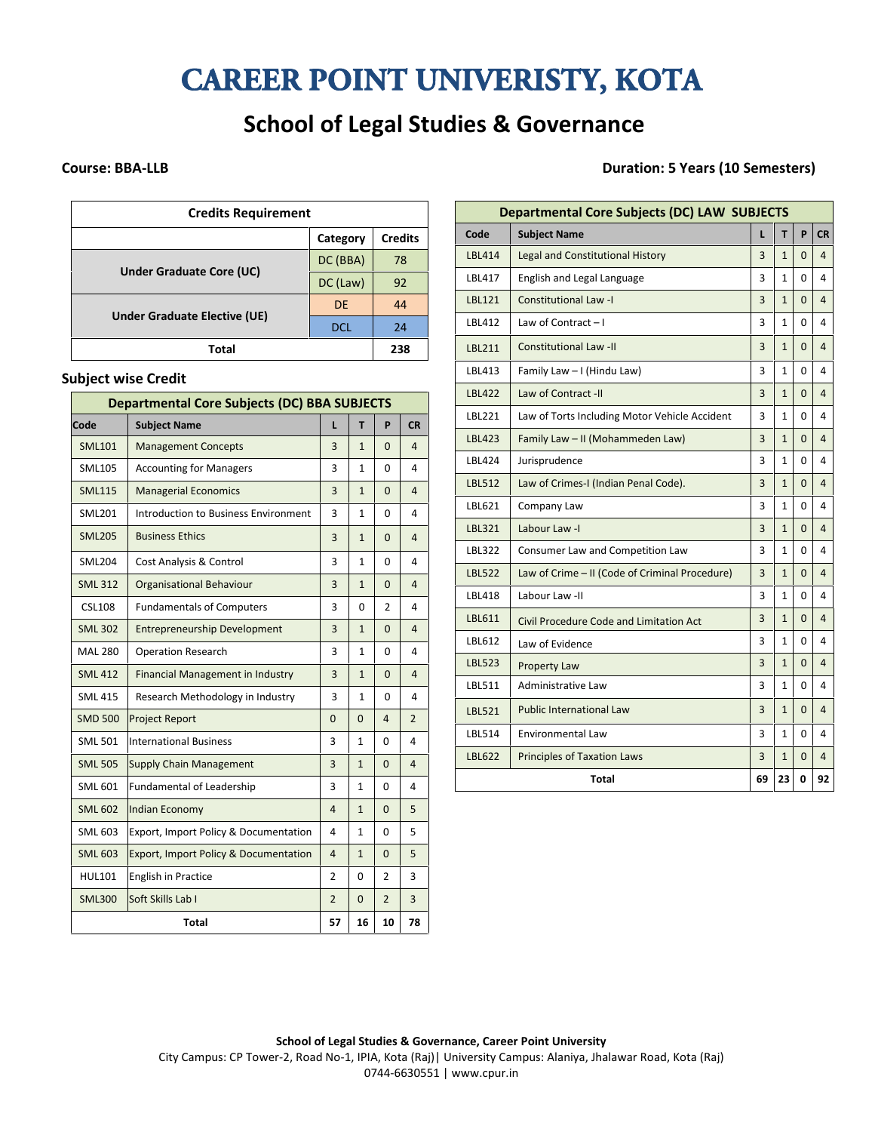# **CAREER POINT UNIVERISTY, KOTA**

## **School of Legal Studies & Governance**

| <b>Credits Requirement</b>      |            |                |  |  |
|---------------------------------|------------|----------------|--|--|
|                                 | Category   | <b>Credits</b> |  |  |
|                                 | DC (BBA)   | 78             |  |  |
| <b>Under Graduate Core (UC)</b> | DC (Law)   | 92             |  |  |
|                                 | <b>DE</b>  | 44             |  |  |
| Under Graduate Elective (UE)    | <b>DCL</b> | 24             |  |  |
| Total                           |            | 238            |  |  |

#### **Subject wise Credit**

| <b>Departmental Core Subjects (DC) BBA SUBJECTS</b> |                                         |                |                |                |                |
|-----------------------------------------------------|-----------------------------------------|----------------|----------------|----------------|----------------|
| Code                                                | <b>Subject Name</b>                     | L              | T              | P              | <b>CR</b>      |
| <b>SML101</b>                                       | <b>Management Concepts</b>              | 3              | $\mathbf{1}$   | $\Omega$       | $\overline{4}$ |
| <b>SML105</b>                                       | <b>Accounting for Managers</b>          | 3              | $\mathbf{1}$   | 0              | 4              |
| <b>SML115</b>                                       | <b>Managerial Economics</b>             | 3              | $\mathbf{1}$   | $\overline{0}$ | $\overline{4}$ |
| <b>SML201</b>                                       | Introduction to Business Environment    | 3              | $\mathbf{1}$   | 0              | 4              |
| <b>SML205</b>                                       | <b>Business Ethics</b>                  | 3              | $\mathbf{1}$   | $\overline{0}$ | $\overline{4}$ |
| <b>SML204</b>                                       | Cost Analysis & Control                 | 3              | $\mathbf{1}$   | 0              | 4              |
| <b>SML 312</b>                                      | <b>Organisational Behaviour</b>         | 3              | $\mathbf{1}$   | $\mathbf{0}$   | $\overline{a}$ |
| <b>CSL108</b>                                       | <b>Fundamentals of Computers</b>        | 3              | 0              | 2              | 4              |
| <b>SML 302</b>                                      | <b>Entrepreneurship Development</b>     | 3              | $\mathbf{1}$   | $\Omega$       | $\overline{4}$ |
| <b>MAL 280</b>                                      | <b>Operation Research</b>               | 3              | $\mathbf{1}$   | 0              | 4              |
| <b>SML 412</b>                                      | <b>Financial Management in Industry</b> | 3              | $\mathbf{1}$   | $\Omega$       | $\overline{4}$ |
| <b>SML 415</b>                                      | Research Methodology in Industry        | 3              | $\mathbf{1}$   | $\mathbf 0$    | 4              |
| <b>SMD 500</b>                                      | <b>Project Report</b>                   | $\Omega$       | $\Omega$       | $\overline{4}$ | $\overline{2}$ |
| <b>SML 501</b>                                      | <b>International Business</b>           | 3              | $\mathbf{1}$   | $\Omega$       | 4              |
| <b>SML 505</b>                                      | <b>Supply Chain Management</b>          | 3              | $\mathbf{1}$   | $\overline{0}$ | 4              |
| <b>SML 601</b>                                      | Fundamental of Leadership               | 3              | $\mathbf{1}$   | 0              | 4              |
| <b>SML 602</b>                                      | Indian Economy                          | $\overline{4}$ | $\mathbf{1}$   | $\Omega$       | 5              |
| <b>SML 603</b>                                      | Export, Import Policy & Documentation   | 4              | $\mathbf{1}$   | 0              | 5              |
| <b>SML 603</b>                                      | Export, Import Policy & Documentation   | $\overline{4}$ | $\mathbf{1}$   | $\Omega$       | 5              |
| <b>HUL101</b>                                       | <b>English in Practice</b>              | $\overline{2}$ | $\Omega$       | $\overline{2}$ | 3              |
| <b>SML300</b>                                       | Soft Skills Lab I                       | $\overline{2}$ | $\overline{0}$ | $\overline{2}$ | 3              |
|                                                     | <b>Total</b>                            | 57             | 16             | 10             | 78             |

### **Course: BBA-LLB Duration: 5 Years (10 Semesters)**

|               | <b>Departmental Core Subjects (DC) LAW SUBJECTS</b> |    |                |              |                |
|---------------|-----------------------------------------------------|----|----------------|--------------|----------------|
| Code          | <b>Subject Name</b>                                 | L  | T              | P            | <b>CR</b>      |
| <b>LBL414</b> | <b>Legal and Constitutional History</b>             | 3  | $\mathbf{1}$   | $\Omega$     | 4              |
| LBL417        | English and Legal Language                          | 3  | $\mathbf{1}$   | $\Omega$     | 4              |
| <b>LBL121</b> | <b>Constitutional Law -I</b>                        | 3  | $\mathbf{1}$   | $\mathbf{0}$ | $\overline{4}$ |
| LBL412        | Law of Contract $-1$                                | 3  | $\mathbf{1}$   | $\Omega$     | 4              |
| <b>LBL211</b> | <b>Constitutional Law -II</b>                       | 3  | $\mathbf{1}$   | $\Omega$     | $\overline{4}$ |
| LBL413        | Family Law - I (Hindu Law)                          | 3  | $\mathbf{1}$   | $\Omega$     | 4              |
| <b>LBL422</b> | Law of Contract -II                                 | 3  | $\mathbf{1}$   | $\Omega$     | 4              |
| LBL221        | Law of Torts Including Motor Vehicle Accident       | 3  | $\mathbf{1}$   | 0            | 4              |
| <b>LBL423</b> | Family Law - II (Mohammeden Law)                    | 3  | $\overline{1}$ | $\Omega$     | $\overline{4}$ |
| LBL424        | Jurisprudence                                       | 3  | $\mathbf{1}$   | $\Omega$     | 4              |
| <b>LBL512</b> | Law of Crimes-I (Indian Penal Code).                | 3  | $\mathbf{1}$   | $\Omega$     | 4              |
| LBL621        | Company Law                                         | 3  | $\mathbf{1}$   | $\Omega$     | 4              |
| LBL321        | Labour Law -I                                       | 3  | $\mathbf{1}$   | $\Omega$     | $\overline{4}$ |
| LBL322        | Consumer Law and Competition Law                    | 3  | $\mathbf{1}$   | $\Omega$     | 4              |
| <b>LBL522</b> | Law of Crime - II (Code of Criminal Procedure)      | 3  | $\mathbf{1}$   | $\mathbf 0$  | $\overline{4}$ |
| <b>LBL418</b> | Labour Law -II                                      | 3  | $\mathbf{1}$   | $\Omega$     | 4              |
| LBL611        | Civil Procedure Code and Limitation Act             | 3  | $\mathbf{1}$   | $\Omega$     | $\overline{4}$ |
| LBL612        | Law of Evidence                                     | 3  | 1              | $\Omega$     | 4              |
| <b>LBL523</b> | <b>Property Law</b>                                 | 3  | $\mathbf{1}$   | $\Omega$     | 4              |
| LBL511        | Administrative Law                                  | 3  | 1              | $\Omega$     | 4              |
| <b>LBL521</b> | <b>Public International Law</b>                     | 3  | $\mathbf{1}$   | $\Omega$     | $\overline{4}$ |
| LBL514        | <b>Environmental Law</b>                            | 3  | $\mathbf{1}$   | $\Omega$     | 4              |
| <b>LBL622</b> | <b>Principles of Taxation Laws</b>                  | 3  | $\mathbf{1}$   | $\Omega$     | 4              |
|               | <b>Total</b>                                        | 69 | 23             | 0            | 92             |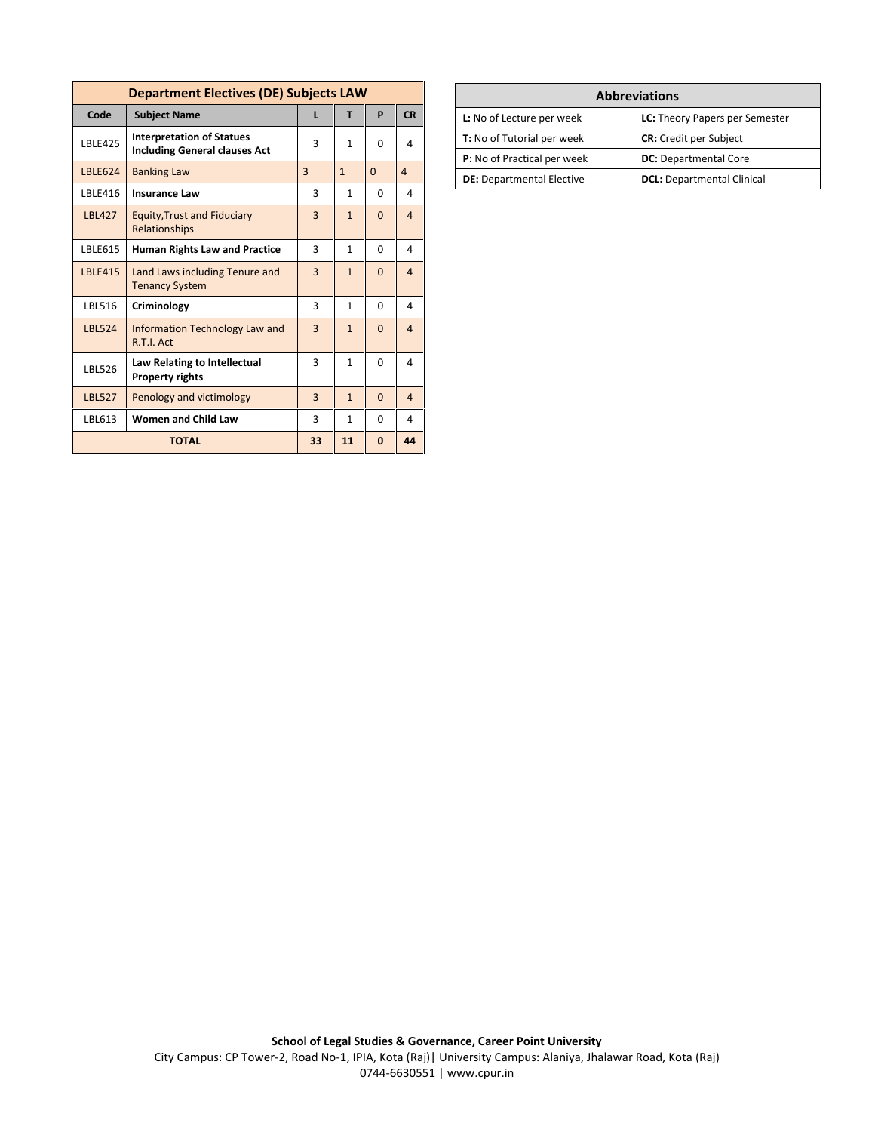| <b>Department Electives (DE) Subjects LAW</b> |                                                                          |                |              |          |                |
|-----------------------------------------------|--------------------------------------------------------------------------|----------------|--------------|----------|----------------|
| Code                                          | <b>Subject Name</b>                                                      | ı              | т            | P        | CR             |
| <b>LBLE425</b>                                | <b>Interpretation of Statues</b><br><b>Including General clauses Act</b> | 3              | 1            | $\Omega$ | 4              |
| <b>IBIF624</b>                                | <b>Banking Law</b>                                                       | $\overline{3}$ | $\mathbf{1}$ | $\Omega$ | $\overline{a}$ |
| LBLE416                                       | <b>Insurance Law</b>                                                     | 3              | $\mathbf{1}$ | $\Omega$ | 4              |
| <b>LBL427</b>                                 | <b>Equity, Trust and Fiduciary</b><br>Relationships                      | $\overline{3}$ | $\mathbf{1}$ | $\Omega$ | $\overline{a}$ |
| LBLE615                                       | <b>Human Rights Law and Practice</b>                                     | 3              | $\mathbf{1}$ | $\Omega$ | 4              |
| <b>LBLE415</b>                                | Land Laws including Tenure and<br><b>Tenancy System</b>                  | $\overline{3}$ | $\mathbf{1}$ | $\Omega$ | $\overline{4}$ |
| LBL516                                        | Criminology                                                              | 3              | $\mathbf{1}$ | $\Omega$ | 4              |
| <b>LBL524</b>                                 | Information Technology Law and<br>R.T.I. Act                             | $\overline{3}$ | $\mathbf{1}$ | $\Omega$ | $\overline{a}$ |
| LBL526                                        | Law Relating to Intellectual<br><b>Property rights</b>                   | 3              | 1            | $\Omega$ | 4              |
| <b>LBL527</b>                                 | Penology and victimology                                                 | 3              | $\mathbf{1}$ | $\Omega$ | 4              |
| LBL613                                        | <b>Women and Child Law</b>                                               | 3              | $\mathbf{1}$ | 0        | 4              |
|                                               | 44<br><b>TOTAL</b><br>33<br>11<br>$\mathbf{0}$                           |                |              |          |                |

| <b>Abbreviations</b>               |                                   |  |  |  |  |
|------------------------------------|-----------------------------------|--|--|--|--|
| L: No of Lecture per week          | LC: Theory Papers per Semester    |  |  |  |  |
| <b>T:</b> No of Tutorial per week  | <b>CR:</b> Credit per Subject     |  |  |  |  |
| <b>P:</b> No of Practical per week | <b>DC:</b> Departmental Core      |  |  |  |  |
| <b>DE:</b> Departmental Elective   | <b>DCL:</b> Departmental Clinical |  |  |  |  |